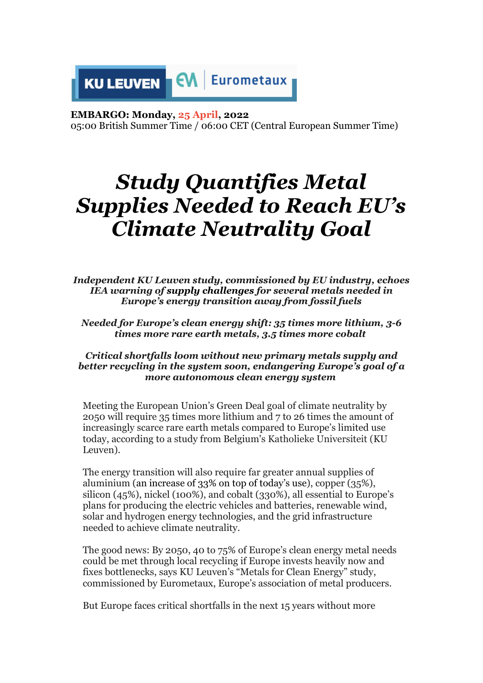

#### **EMBARGO: Monday, 25 April, 2022**

05:00 British Summer Time / 06:00 CET (Central European Summer Time)

# *Study Quantifies Metal Supplies Needed to Reach EU's Climate Neutrality Goal*

*Independent KU Leuven study, commissioned by EU industry, echoes IEA warning of supply challenges for several metals needed in Europe's energy transition away from fossil fuels*

*Needed for Europe's clean energy shift: 35 times more lithium, 3-6 times more rare earth metals, 3.5 times more cobalt*

#### *Critical shortfalls loom without new primary metals supply and better recycling in the system soon, endangering Europe's goal of a more autonomous clean energy system*

Meeting the European Union's Green Deal goal of climate neutrality by 2050 will require 35 times more lithium and 7 to 26 times the amount of increasingly scarce rare earth metals compared to Europe's limited use today, according to a study from Belgium's Katholieke Universiteit (KU Leuven).

The energy transition will also require far greater annual supplies of aluminium (an increase of 33% on top of today's use), copper (35%), silicon (45%), nickel (100%), and cobalt (330%), all essential to Europe's plans for producing the electric vehicles and batteries, renewable wind, solar and hydrogen energy technologies, and the grid infrastructure needed to achieve climate neutrality.

The good news: By 2050, 40 to 75% of Europe's clean energy metal needs could be met through local recycling if Europe invests heavily now and fixes bottlenecks, says KU Leuven's "Metals for Clean Energy" study, commissioned by Eurometaux, Europe's association of metal producers.

But Europe faces critical shortfalls in the next 15 years without more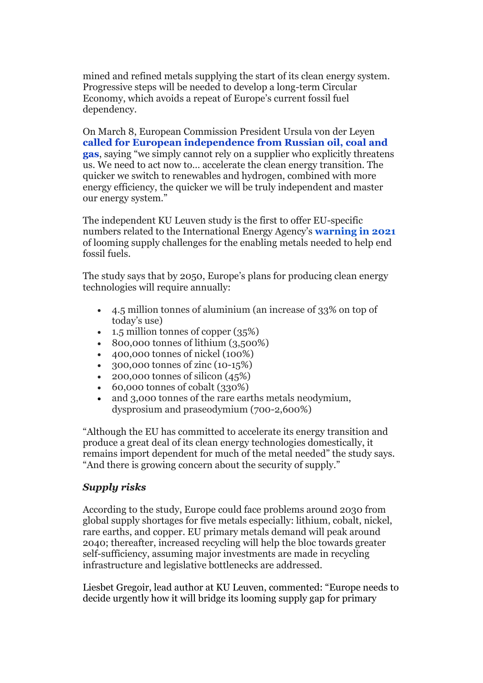mined and refined metals supplying the start of its clean energy system. Progressive steps will be needed to develop a long-term Circular Economy, which avoids a repeat of Europe's current fossil fuel dependency.

On March 8, European Commission President Ursula von der Leye[n](https://ec.europa.eu/commission/presscorner/detail/en/ip_22_1511) **[called for European independence from Russian oil, coal and](https://ec.europa.eu/commission/presscorner/detail/en/ip_22_1511)  [gas](https://ec.europa.eu/commission/presscorner/detail/en/ip_22_1511)**, saying "we simply cannot rely on a supplier who explicitly threatens us. We need to act now to… accelerate the clean energy transition. The quicker we switch to renewables and hydrogen, combined with more energy efficiency, the quicker we will be truly independent and master our energy system."

The independent KU Leuven study is the first to offer EU-specific numbers related to the International Energy Agency's **[warning in 2021](https://www.iea.org/reports/the-role-of-critical-minerals-in-clean-energy-transitions)** of looming supply challenges for the enabling metals needed to help end fossil fuels.

The study says that by 2050, Europe's plans for producing clean energy technologies will require annually:

- 4.5 million tonnes of aluminium (an increase of 33% on top of today's use)
- 1.5 million tonnes of copper (35%)
- 800,000 tonnes of lithium (3,500%)
- 400,000 tonnes of nickel (100%)
- 300,000 tonnes of zinc (10-15%)
- 200,000 tonnes of silicon  $(45%)$
- 60,000 tonnes of cobalt (330%)
- and 3,000 tonnes of the rare earths metals neodymium, dysprosium and praseodymium (700-2,600%)

"Although the EU has committed to accelerate its energy transition and produce a great deal of its clean energy technologies domestically, it remains import dependent for much of the metal needed" the study says. "And there is growing concern about the security of supply."

## *Supply risks*

According to the study, Europe could face problems around 2030 from global supply shortages for five metals especially: lithium, cobalt, nickel, rare earths, and copper. EU primary metals demand will peak around 2040; thereafter, increased recycling will help the bloc towards greater self-sufficiency, assuming major investments are made in recycling infrastructure and legislative bottlenecks are addressed.

Liesbet Gregoir, lead author at KU Leuven, commented: "Europe needs to decide urgently how it will bridge its looming supply gap for primary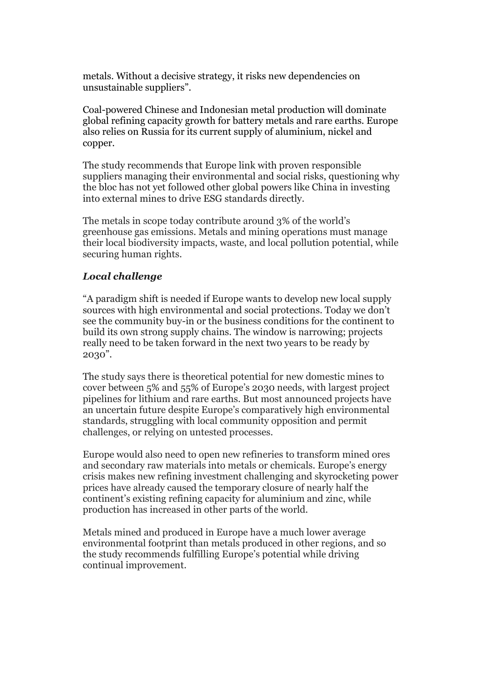metals. Without a decisive strategy, it risks new dependencies on unsustainable suppliers".

Coal-powered Chinese and Indonesian metal production will dominate global refining capacity growth for battery metals and rare earths. Europe also relies on Russia for its current supply of aluminium, nickel and copper.

The study recommends that Europe link with proven responsible suppliers managing their environmental and social risks, questioning why the bloc has not yet followed other global powers like China in investing into external mines to drive ESG standards directly.

The metals in scope today contribute around 3% of the world's greenhouse gas emissions. Metals and mining operations must manage their local biodiversity impacts, waste, and local pollution potential, while securing human rights.

### *Local challenge*

"A paradigm shift is needed if Europe wants to develop new local supply sources with high environmental and social protections. Today we don't see the community buy-in or the business conditions for the continent to build its own strong supply chains. The window is narrowing; projects really need to be taken forward in the next two years to be ready by 2030".

The study says there is theoretical potential for new domestic mines to cover between 5% and 55% of Europe's 2030 needs, with largest project pipelines for lithium and rare earths. But most announced projects have an uncertain future despite Europe's comparatively high environmental standards, struggling with local community opposition and permit challenges, or relying on untested processes.

Europe would also need to open new refineries to transform mined ores and secondary raw materials into metals or chemicals. Europe's energy crisis makes new refining investment challenging and skyrocketing power prices have already caused the temporary closure of nearly half the continent's existing refining capacity for aluminium and zinc, while production has increased in other parts of the world.

Metals mined and produced in Europe have a much lower average environmental footprint than metals produced in other regions, and so the study recommends fulfilling Europe's potential while driving continual improvement.